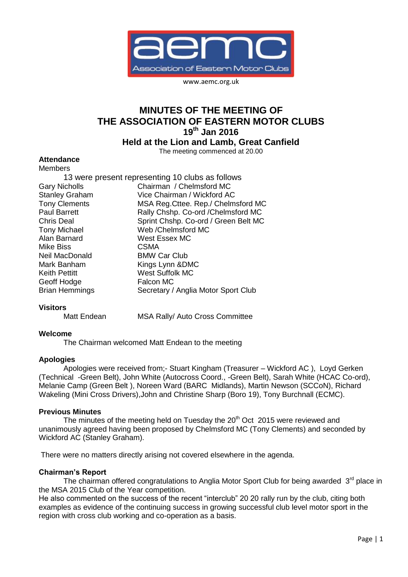

www.aemc.org.uk

# **MINUTES OF THE MEETING OF THE ASSOCIATION OF EASTERN MOTOR CLUBS 19th Jan 2016**

**Held at the Lion and Lamb, Great Canfield**

The meeting commenced at 20.00

# **Attendance**

| Members                                          |                                      |
|--------------------------------------------------|--------------------------------------|
| 13 were present representing 10 clubs as follows |                                      |
| <b>Gary Nicholls</b>                             | Chairman / Chelmsford MC             |
| <b>Stanley Graham</b>                            | Vice Chairman / Wickford AC          |
| <b>Tony Clements</b>                             | MSA Reg. Cttee. Rep./ Chelmsford MC  |
| <b>Paul Barrett</b>                              | Rally Chshp. Co-ord / Chelmsford MC  |
| Chris Deal                                       | Sprint Chshp. Co-ord / Green Belt MC |
| <b>Tony Michael</b>                              | Web / Chelmsford MC                  |
| Alan Barnard                                     | West Essex MC                        |
| Mike Biss                                        | <b>CSMA</b>                          |
| Neil MacDonald                                   | <b>BMW Car Club</b>                  |
| Mark Banham                                      | Kings Lynn & DMC                     |
| Keith Pettitt                                    | <b>West Suffolk MC</b>               |
| Geoff Hodge                                      | <b>Falcon MC</b>                     |
| <b>Brian Hemmings</b>                            | Secretary / Anglia Motor Sport Club  |
|                                                  |                                      |

### **Visitors**

Matt Endean MSA Rally/ Auto Cross Committee

### **Welcome**

The Chairman welcomed Matt Endean to the meeting

### **Apologies**

Apologies were received from;- Stuart Kingham (Treasurer – Wickford AC ), Loyd Gerken (Technical -Green Belt), John White (Autocross Coord., -Green Belt), Sarah White (HCAC Co-ord), Melanie Camp (Green Belt ), Noreen Ward (BARC Midlands), Martin Newson (SCCoN), Richard Wakeling (Mini Cross Drivers),John and Christine Sharp (Boro 19), Tony Burchnall (ECMC).

### **Previous Minutes**

The minutes of the meeting held on Tuesday the 20<sup>th</sup> Oct 2015 were reviewed and unanimously agreed having been proposed by Chelmsford MC (Tony Clements) and seconded by Wickford AC (Stanley Graham).

There were no matters directly arising not covered elsewhere in the agenda.

### **Chairman's Report**

The chairman offered congratulations to Anglia Motor Sport Club for being awarded 3<sup>rd</sup> place in the MSA 2015 Club of the Year competition.

He also commented on the success of the recent "interclub" 20 20 rally run by the club, citing both examples as evidence of the continuing success in growing successful club level motor sport in the region with cross club working and co-operation as a basis.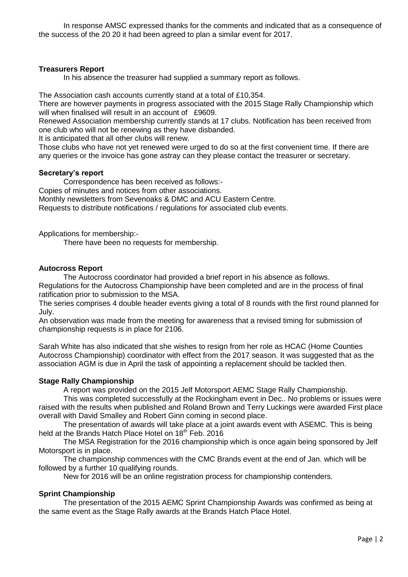In response AMSC expressed thanks for the comments and indicated that as a consequence of the success of the 20 20 it had been agreed to plan a similar event for 2017.

### **Treasurers Report**

In his absence the treasurer had supplied a summary report as follows.

The Association cash accounts currently stand at a total of £10,354.

There are however payments in progress associated with the 2015 Stage Rally Championship which will when finalised will result in an account of £9609.

Renewed Association membership currently stands at 17 clubs. Notification has been received from one club who will not be renewing as they have disbanded.

It is anticipated that all other clubs will renew.

Those clubs who have not yet renewed were urged to do so at the first convenient time. If there are any queries or the invoice has gone astray can they please contact the treasurer or secretary.

### **Secretary's report**

Correspondence has been received as follows:- Copies of minutes and notices from other associations. Monthly newsletters from Sevenoaks & DMC and ACU Eastern Centre. Requests to distribute notifications / regulations for associated club events.

Applications for membership:-

There have been no requests for membership.

### **Autocross Report**

The Autocross coordinator had provided a brief report in his absence as follows. Regulations for the Autocross Championship have been completed and are in the process of final ratification prior to submission to the MSA.

The series comprises 4 double header events giving a total of 8 rounds with the first round planned for July.

An observation was made from the meeting for awareness that a revised timing for submission of championship requests is in place for 2106.

Sarah White has also indicated that she wishes to resign from her role as HCAC (Home Counties Autocross Championship) coordinator with effect from the 2017 season. It was suggested that as the association AGM is due in April the task of appointing a replacement should be tackled then.

# **Stage Rally Championship**

A report was provided on the 2015 Jelf Motorsport AEMC Stage Rally Championship.

This was completed successfully at the Rockingham event in Dec.. No problems or issues were raised with the results when published and Roland Brown and Terry Luckings were awarded First place overall with David Smalley and Robert Ginn coming in second place.

The presentation of awards will take place at a joint awards event with ASEMC. This is being held at the Brands Hatch Place Hotel on 18<sup>th</sup> Feb. 2016

The MSA Registration for the 2016 championship which is once again being sponsored by Jelf Motorsport is in place.

The championship commences with the CMC Brands event at the end of Jan. which will be followed by a further 10 qualifying rounds.

New for 2016 will be an online registration process for championship contenders.

# **Sprint Championship**

The presentation of the 2015 AEMC Sprint Championship Awards was confirmed as being at the same event as the Stage Rally awards at the Brands Hatch Place Hotel.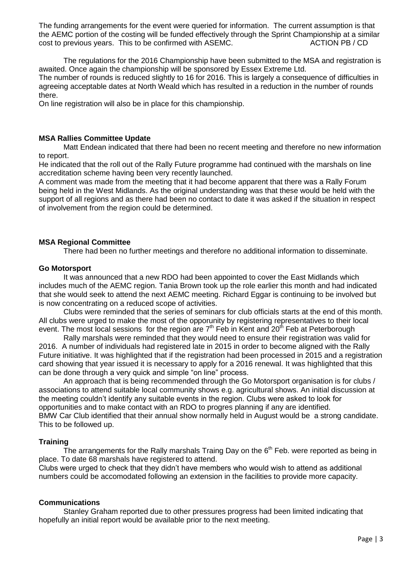The funding arrangements for the event were queried for information. The current assumption is that the AEMC portion of the costing will be funded effectively through the Sprint Championship at a similar cost to previous years. This to be confirmed with ASEMC. ACTION PB / CD

The regulations for the 2016 Championship have been submitted to the MSA and registration is awaited. Once again the championship will be sponsored by Essex Extreme Ltd. The number of rounds is reduced slightly to 16 for 2016. This is largely a consequence of difficulties in agreeing acceptable dates at North Weald which has resulted in a reduction in the number of rounds there.

On line registration will also be in place for this championship.

### **MSA Rallies Committee Update**

Matt Endean indicated that there had been no recent meeting and therefore no new information to report.

He indicated that the roll out of the Rally Future programme had continued with the marshals on line accreditation scheme having been very recently launched.

A comment was made from the meeting that it had become apparent that there was a Rally Forum being held in the West Midlands. As the original understanding was that these would be held with the support of all regions and as there had been no contact to date it was asked if the situation in respect of involvement from the region could be determined.

# **MSA Regional Committee**

There had been no further meetings and therefore no additional information to disseminate.

### **Go Motorsport**

It was announced that a new RDO had been appointed to cover the East Midlands which includes much of the AEMC region. Tania Brown took up the role earlier this month and had indicated that she would seek to attend the next AEMC meeting. Richard Eggar is continuing to be involved but is now concentrating on a reduced scope of activities.

Clubs were reminded that the series of seminars for club officials starts at the end of this month. All clubs were urged to make the most of the opporunity by registering representatives to their local event. The most local sessions for the region are  $7<sup>th</sup>$  Feb in Kent and 20<sup>th</sup> Feb at Peterborough

Rally marshals were reminded that they would need to ensure their registration was valid for 2016. A number of individuals had registered late in 2015 in order to become aligned with the Rally Future initiative. It was highlighted that if the registration had been processed in 2015 and a registration card showing that year issued it is necessary to apply for a 2016 renewal. It was highlighted that this can be done through a very quick and simple "on line" process.

An approach that is being recommended through the Go Motorsport organisation is for clubs / associations to attend suitable local community shows e.g. agricultural shows. An initial discussion at the meeting couldn't identify any suitable events in the region. Clubs were asked to look for opportunities and to make contact with an RDO to progres planning if any are identified. BMW Car Club identified that their annual show normally held in August would be a strong candidate. This to be followed up.

# **Training**

The arrangements for the Rally marshals Traing Day on the  $6<sup>th</sup>$  Feb. were reported as being in place. To date 68 marshals have registered to attend.

Clubs were urged to check that they didn't have members who would wish to attend as additional numbers could be accomodated following an extension in the facilities to provide more capacity.

### **Communications**

Stanley Graham reported due to other pressures progress had been limited indicating that hopefully an initial report would be available prior to the next meeting.